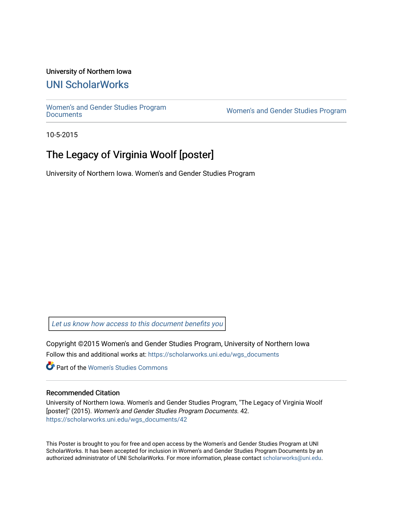### University of Northern Iowa

## [UNI ScholarWorks](https://scholarworks.uni.edu/)

[Women's and Gender Studies Program](https://scholarworks.uni.edu/wgs_documents)<br>Documents

Women's and Gender Studies Program

10-5-2015

## The Legacy of Virginia Woolf [poster]

University of Northern Iowa. Women's and Gender Studies Program

[Let us know how access to this document benefits you](https://scholarworks.uni.edu/feedback_form.html) 

Copyright ©2015 Women's and Gender Studies Program, University of Northern Iowa Follow this and additional works at: [https://scholarworks.uni.edu/wgs\\_documents](https://scholarworks.uni.edu/wgs_documents?utm_source=scholarworks.uni.edu%2Fwgs_documents%2F42&utm_medium=PDF&utm_campaign=PDFCoverPages)

**C** Part of the Women's Studies Commons

#### Recommended Citation

University of Northern Iowa. Women's and Gender Studies Program, "The Legacy of Virginia Woolf [poster]" (2015). Women's and Gender Studies Program Documents. 42. [https://scholarworks.uni.edu/wgs\\_documents/42](https://scholarworks.uni.edu/wgs_documents/42?utm_source=scholarworks.uni.edu%2Fwgs_documents%2F42&utm_medium=PDF&utm_campaign=PDFCoverPages) 

This Poster is brought to you for free and open access by the Women's and Gender Studies Program at UNI ScholarWorks. It has been accepted for inclusion in Women's and Gender Studies Program Documents by an authorized administrator of UNI ScholarWorks. For more information, please contact [scholarworks@uni.edu.](mailto:scholarworks@uni.edu)